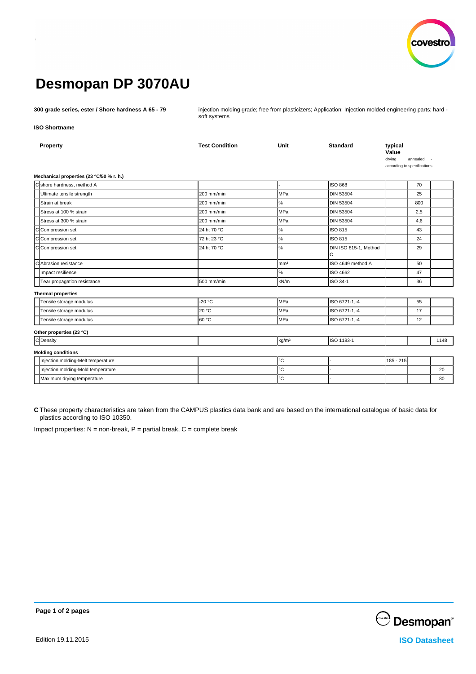

# **Desmopan DP 3070AU**

**300 grade series, ester / Shore hardness A 65 - 79** injection molding grade; free from plasticizers; Application; Injection molded engineering parts; hard soft systems

**ISO Shortname**

| Property                                 | <b>Test Condition</b> | Unit              | <b>Standard</b>                       | typical<br>Value<br>drying  | annealed |      |
|------------------------------------------|-----------------------|-------------------|---------------------------------------|-----------------------------|----------|------|
| Mechanical properties (23 °C/50 % r. h.) |                       |                   |                                       | according to specifications |          |      |
| Cshore hardness, method A                |                       |                   | <b>ISO 868</b>                        |                             | 70       |      |
| Ultimate tensile strength                | 200 mm/min            | MPa               | <b>DIN 53504</b>                      |                             | 25       |      |
|                                          |                       |                   |                                       |                             |          |      |
| Strain at break                          | 200 mm/min            | %                 | <b>DIN 53504</b>                      |                             | 800      |      |
| Stress at 100 % strain                   | 200 mm/min            | MPa               | <b>DIN 53504</b>                      |                             | 2,5      |      |
| Stress at 300 % strain                   | 200 mm/min            | MPa               | <b>DIN 53504</b>                      |                             | 4,6      |      |
| Compression set                          | 24 h; 70 °C           | $\%$              | ISO 815                               |                             | 43       |      |
| $\overline{C}$<br>Compression set        | 72 h; 23 °C           | %                 | ISO 815                               |                             | 24       |      |
| <b>c</b><br>Compression set              | 24 h; 70 °C           | $\%$              | DIN ISO 815-1, Method<br>$\mathsf{C}$ |                             | 29       |      |
| Abrasion resistance<br>C                 |                       | mm <sup>3</sup>   | ISO 4649 method A                     |                             | 50       |      |
| Impact resilience                        |                       | %                 | ISO 4662                              |                             | 47       |      |
| Tear propagation resistance              | 500 mm/min            | kN/m              | ISO 34-1                              |                             | 36       |      |
| <b>Thermal properties</b>                |                       |                   |                                       |                             |          |      |
| Tensile storage modulus                  | $-20 °C$              | MPa               | ISO 6721-1,-4                         |                             | 55       |      |
| Tensile storage modulus                  | 20 °C                 | MPa               | ISO 6721-1,-4                         |                             | 17       |      |
| Tensile storage modulus                  | 60 °C                 | MPa               | ISO 6721-1,-4                         |                             | 12       |      |
| Other properties (23 °C)                 |                       |                   |                                       |                             |          |      |
| C Density                                |                       | kg/m <sup>3</sup> | ISO 1183-1                            |                             |          | 1148 |
| <b>Molding conditions</b>                |                       |                   |                                       |                             |          |      |
| Injection molding-Melt temperature       |                       | $^{\circ}{\rm C}$ |                                       | 185 - 215                   |          |      |
| Injection molding-Mold temperature       |                       | $^{\circ}$ C      |                                       |                             |          | 20   |
| Maximum drying temperature               |                       | $\rm ^{\circ}C$   |                                       |                             |          | 80   |

**C** These property characteristics are taken from the CAMPUS plastics data bank and are based on the international catalogue of basic data for plastics according to ISO 10350.

Impact properties:  $N =$  non-break,  $P =$  partial break,  $C =$  complete break



**Page 1 of 2 pages**